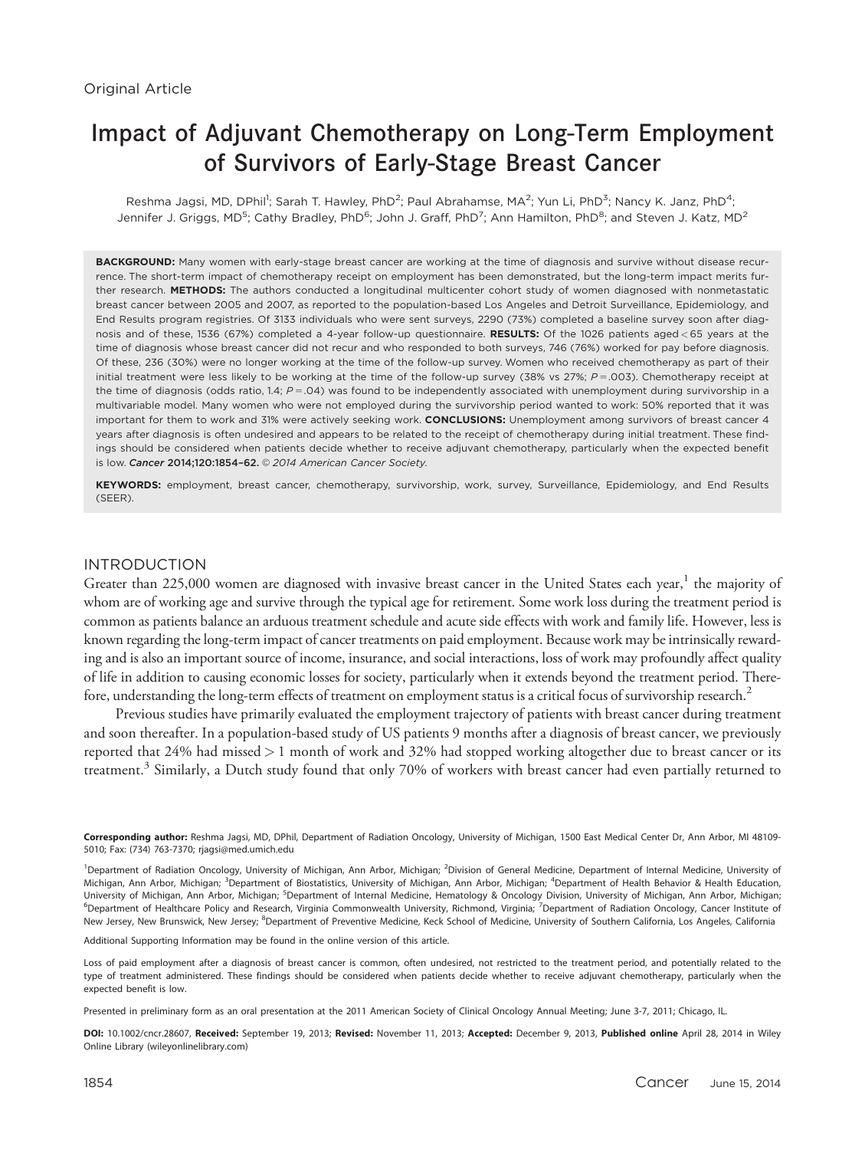# Impact of Adjuvant Chemotherapy on Long-Term Employment of Survivors of Early-Stage Breast Cancer

Reshma Jagsi, MD, DPhil<sup>1</sup>; Sarah T. Hawley, PhD<sup>2</sup>; Paul Abrahamse, MA<sup>2</sup>; Yun Li, PhD<sup>3</sup>; Nancy K. Janz, PhD<sup>4</sup>; Jennifer J. Griggs, MD<sup>5</sup>; Cathy Bradley, PhD<sup>6</sup>; John J. Graff, PhD<sup>7</sup>; Ann Hamilton, PhD<sup>8</sup>; and Steven J. Katz, MD<sup>2</sup>

BACKGROUND: Many women with early-stage breast cancer are working at the time of diagnosis and survive without disease recurrence. The short-term impact of chemotherapy receipt on employment has been demonstrated, but the long-term impact merits further research. METHODS: The authors conducted a longitudinal multicenter cohort study of women diagnosed with nonmetastatic breast cancer between 2005 and 2007, as reported to the population-based Los Angeles and Detroit Surveillance, Epidemiology, and End Results program registries. Of 3133 individuals who were sent surveys, 2290 (73%) completed a baseline survey soon after diagnosis and of these, 1536 (67%) completed a 4-year follow-up questionnaire. RESULTS: Of the 1026 patients aged < 65 years at the time of diagnosis whose breast cancer did not recur and who responded to both surveys, 746 (76%) worked for pay before diagnosis. Of these, 236 (30%) were no longer working at the time of the follow-up survey. Women who received chemotherapy as part of their initial treatment were less likely to be working at the time of the follow-up survey (38% vs 27%;  $P = .003$ ). Chemotherapy receipt at the time of diagnosis (odds ratio, 1.4;  $P = 04$ ) was found to be independently associated with unemployment during survivorship in a multivariable model. Many women who were not employed during the survivorship period wanted to work: 50% reported that it was important for them to work and 31% were actively seeking work. CONCLUSIONS: Unemployment among survivors of breast cancer 4 years after diagnosis is often undesired and appears to be related to the receipt of chemotherapy during initial treatment. These findings should be considered when patients decide whether to receive adjuvant chemotherapy, particularly when the expected benefit is low. Cancer 2014;120:1854-62. @ 2014 American Cancer Society.

KEYWORDS: employment, breast cancer, chemotherapy, survivorship, work, survey, Surveillance, Epidemiology, and End Results (SEER).

## INTRODUCTION

Greater than 225,000 women are diagnosed with invasive breast cancer in the United States each year,<sup>1</sup> the majority of whom are of working age and survive through the typical age for retirement. Some work loss during the treatment period is common as patients balance an arduous treatment schedule and acute side effects with work and family life. However, less is known regarding the long-term impact of cancer treatments on paid employment. Because work may be intrinsically rewarding and is also an important source of income, insurance, and social interactions, loss of work may profoundly affect quality of life in addition to causing economic losses for society, particularly when it extends beyond the treatment period. Therefore, understanding the long-term effects of treatment on employment status is a critical focus of survivorship research.<sup>2</sup>

Previous studies have primarily evaluated the employment trajectory of patients with breast cancer during treatment and soon thereafter. In a population-based study of US patients 9 months after a diagnosis of breast cancer, we previously reported that 24% had missed > 1 month of work and 32% had stopped working altogether due to breast cancer or its treatment.<sup>3</sup> Similarly, a Dutch study found that only 70% of workers with breast cancer had even partially returned to

Corresponding author: Reshma Jagsi, MD, DPhil, Department of Radiation Oncology, University of Michigan, 1500 East Medical Center Dr, Ann Arbor, MI 48109-5010; Fax: (734) 763-7370; rjagsi@med.umich.edu

<sup>1</sup>Department of Radiation Oncology, University of Michigan, Ann Arbor, Michigan; <sup>2</sup>Division of General Medicine, Department of Internal Medicine, University of Michigan, Ann Arbor, Michigan; <sup>3</sup>Department of Biostatistics, University of Michigan, Ann Arbor, Michigan; <sup>4</sup>Department of Health Behavior & Health Education, University of Michigan, Ann Arbor, Michigan; <sup>5</sup>Department of Internal Medicine, Hematology & Oncology Division, University of Michigan, Ann Arbor, Michigan; <sup>6</sup>Department of Healthcare Policy and Research, Virginia Commonwealth University, Richmond, Virginia; <sup>7</sup>Department of Radiation Oncology, Cancer Institute of New Jersey, New Brunswick, New Jersey; <sup>8</sup>Department of Preventive Medicine, Keck School of Medicine, University of Southern California, Los Angeles, California

Additional Supporting Information may be found in the online version of this article.

Loss of paid employment after a diagnosis of breast cancer is common, often undesired, not restricted to the treatment period, and potentially related to the type of treatment administered. These findings should be considered when patients decide whether to receive adjuvant chemotherapy, particularly when the expected benefit is low.

Presented in preliminary form as an oral presentation at the 2011 American Society of Clinical Oncology Annual Meeting; June 3-7, 2011; Chicago, IL.

DOI: 10.1002/cncr.28607, Received: September 19, 2013; Revised: November 11, 2013; Accepted: December 9, 2013, Published online April 28, 2014 in Wiley Online Library (wileyonlinelibrary.com)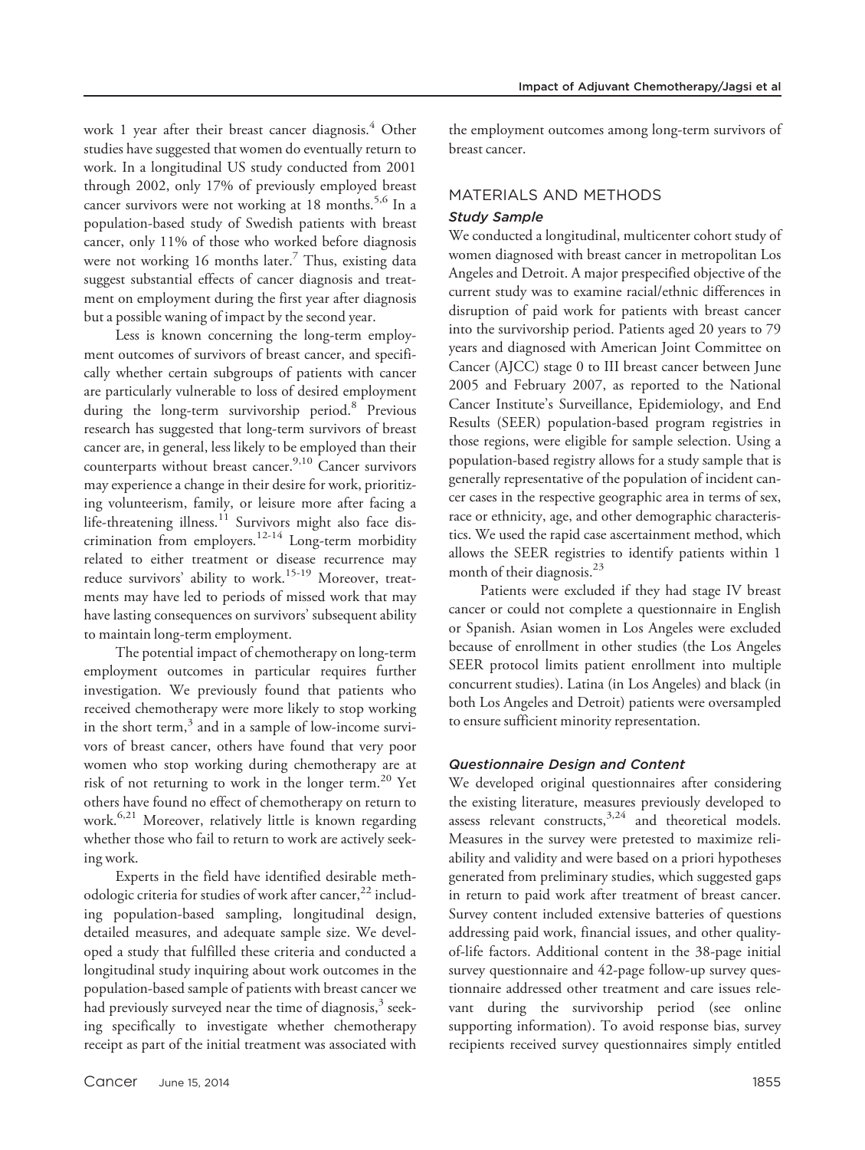work 1 year after their breast cancer diagnosis. $4$  Other studies have suggested that women do eventually return to work. In a longitudinal US study conducted from 2001 through 2002, only 17% of previously employed breast cancer survivors were not working at 18 months.<sup>5,6</sup> In a population-based study of Swedish patients with breast cancer, only 11% of those who worked before diagnosis were not working 16 months later.<sup>7</sup> Thus, existing data suggest substantial effects of cancer diagnosis and treatment on employment during the first year after diagnosis but a possible waning of impact by the second year.

Less is known concerning the long-term employment outcomes of survivors of breast cancer, and specifically whether certain subgroups of patients with cancer are particularly vulnerable to loss of desired employment during the long-term survivorship period.<sup>8</sup> Previous research has suggested that long-term survivors of breast cancer are, in general, less likely to be employed than their counterparts without breast cancer.<sup>9,10</sup> Cancer survivors may experience a change in their desire for work, prioritizing volunteerism, family, or leisure more after facing a life-threatening illness.<sup>11</sup> Survivors might also face discrimination from employers.<sup>12-14</sup> Long-term morbidity related to either treatment or disease recurrence may reduce survivors' ability to work.<sup>15-19</sup> Moreover, treatments may have led to periods of missed work that may have lasting consequences on survivors' subsequent ability to maintain long-term employment.

The potential impact of chemotherapy on long-term employment outcomes in particular requires further investigation. We previously found that patients who received chemotherapy were more likely to stop working in the short term, $3$  and in a sample of low-income survivors of breast cancer, others have found that very poor women who stop working during chemotherapy are at risk of not returning to work in the longer term.20 Yet others have found no effect of chemotherapy on return to work.6,21 Moreover, relatively little is known regarding whether those who fail to return to work are actively seeking work.

Experts in the field have identified desirable methodologic criteria for studies of work after cancer, $^{22}$  including population-based sampling, longitudinal design, detailed measures, and adequate sample size. We developed a study that fulfilled these criteria and conducted a longitudinal study inquiring about work outcomes in the population-based sample of patients with breast cancer we had previously surveyed near the time of diagnosis, $3$  seeking specifically to investigate whether chemotherapy receipt as part of the initial treatment was associated with the employment outcomes among long-term survivors of breast cancer.

# MATERIALS AND METHODS

# Study Sample

We conducted a longitudinal, multicenter cohort study of women diagnosed with breast cancer in metropolitan Los Angeles and Detroit. A major prespecified objective of the current study was to examine racial/ethnic differences in disruption of paid work for patients with breast cancer into the survivorship period. Patients aged 20 years to 79 years and diagnosed with American Joint Committee on Cancer (AJCC) stage 0 to III breast cancer between June 2005 and February 2007, as reported to the National Cancer Institute's Surveillance, Epidemiology, and End Results (SEER) population-based program registries in those regions, were eligible for sample selection. Using a population-based registry allows for a study sample that is generally representative of the population of incident cancer cases in the respective geographic area in terms of sex, race or ethnicity, age, and other demographic characteristics. We used the rapid case ascertainment method, which allows the SEER registries to identify patients within 1 month of their diagnosis.<sup>23</sup>

Patients were excluded if they had stage IV breast cancer or could not complete a questionnaire in English or Spanish. Asian women in Los Angeles were excluded because of enrollment in other studies (the Los Angeles SEER protocol limits patient enrollment into multiple concurrent studies). Latina (in Los Angeles) and black (in both Los Angeles and Detroit) patients were oversampled to ensure sufficient minority representation.

## Questionnaire Design and Content

We developed original questionnaires after considering the existing literature, measures previously developed to assess relevant constructs,  $3,24$  and theoretical models. Measures in the survey were pretested to maximize reliability and validity and were based on a priori hypotheses generated from preliminary studies, which suggested gaps in return to paid work after treatment of breast cancer. Survey content included extensive batteries of questions addressing paid work, financial issues, and other qualityof-life factors. Additional content in the 38-page initial survey questionnaire and 42-page follow-up survey questionnaire addressed other treatment and care issues relevant during the survivorship period (see online supporting information). To avoid response bias, survey recipients received survey questionnaires simply entitled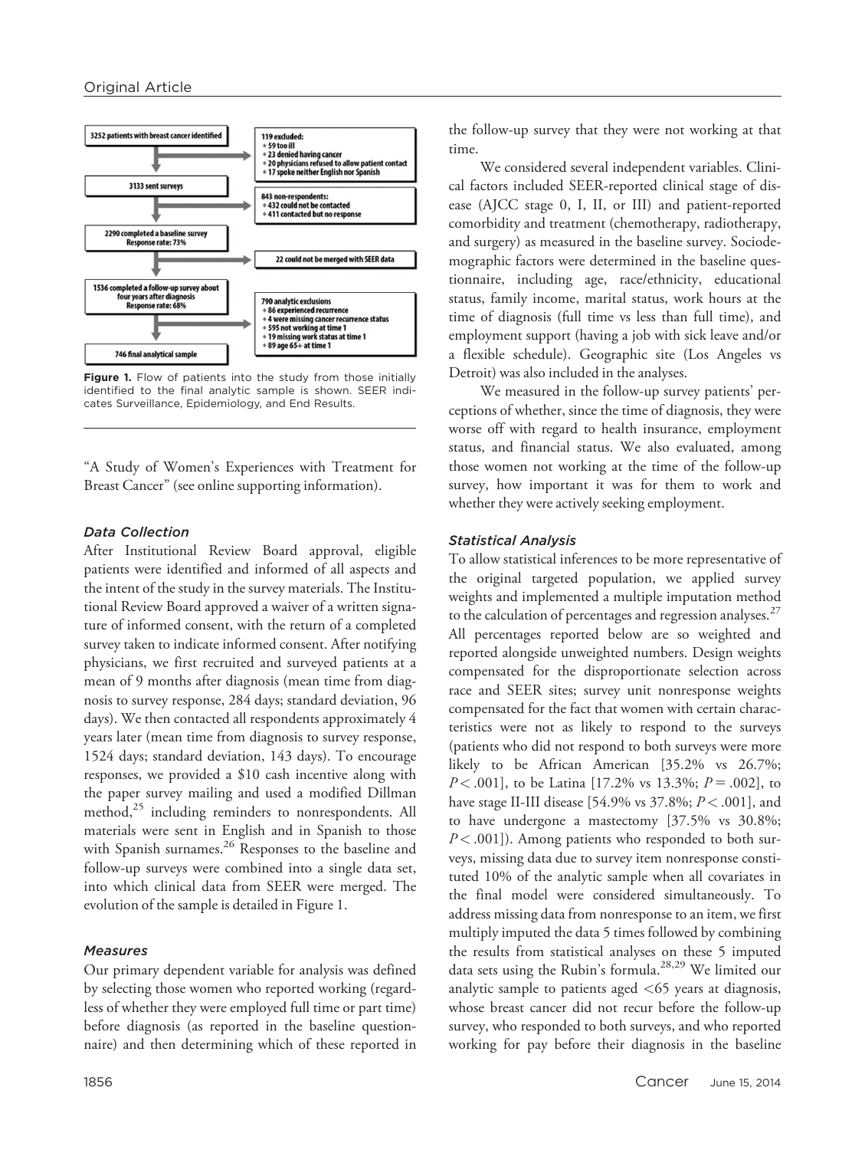

Figure 1. Flow of patients into the study from those initially identified to the final analytic sample is shown. SEER indicates Surveillance, Epidemiology, and End Results.

"A Study of Women's Experiences with Treatment for Breast Cancer" (see online supporting information).

## Data Collection

After Institutional Review Board approval, eligible patients were identified and informed of all aspects and the intent of the study in the survey materials. The Institutional Review Board approved a waiver of a written signature of informed consent, with the return of a completed survey taken to indicate informed consent. After notifying physicians, we first recruited and surveyed patients at a mean of 9 months after diagnosis (mean time from diagnosis to survey response, 284 days; standard deviation, 96 days). We then contacted all respondents approximately 4 years later (mean time from diagnosis to survey response, 1524 days; standard deviation, 143 days). To encourage responses, we provided a \$10 cash incentive along with the paper survey mailing and used a modified Dillman method, $25$  including reminders to nonrespondents. All materials were sent in English and in Spanish to those with Spanish surnames.<sup>26</sup> Responses to the baseline and follow-up surveys were combined into a single data set, into which clinical data from SEER were merged. The evolution of the sample is detailed in Figure 1.

## **Measures**

Our primary dependent variable for analysis was defined by selecting those women who reported working (regardless of whether they were employed full time or part time) before diagnosis (as reported in the baseline questionnaire) and then determining which of these reported in the follow-up survey that they were not working at that time.

We considered several independent variables. Clinical factors included SEER-reported clinical stage of disease (AJCC stage 0, I, II, or III) and patient-reported comorbidity and treatment (chemotherapy, radiotherapy, and surgery) as measured in the baseline survey. Sociodemographic factors were determined in the baseline questionnaire, including age, race/ethnicity, educational status, family income, marital status, work hours at the time of diagnosis (full time vs less than full time), and employment support (having a job with sick leave and/or a flexible schedule). Geographic site (Los Angeles vs Detroit) was also included in the analyses.

We measured in the follow-up survey patients' perceptions of whether, since the time of diagnosis, they were worse off with regard to health insurance, employment status, and financial status. We also evaluated, among those women not working at the time of the follow-up survey, how important it was for them to work and whether they were actively seeking employment.

## Statistical Analysis

To allow statistical inferences to be more representative of the original targeted population, we applied survey weights and implemented a multiple imputation method to the calculation of percentages and regression analyses. $^{27}$ All percentages reported below are so weighted and reported alongside unweighted numbers. Design weights compensated for the disproportionate selection across race and SEER sites; survey unit nonresponse weights compensated for the fact that women with certain characteristics were not as likely to respond to the surveys (patients who did not respond to both surveys were more likely to be African American [35.2% vs 26.7%;  $P < .001$ ], to be Latina [17.2% vs 13.3%;  $P = .002$ ], to have stage II-III disease [54.9% vs 37.8%;  $P < .001$ ], and to have undergone a mastectomy [37.5% vs 30.8%;  $P<.001$ ]). Among patients who responded to both surveys, missing data due to survey item nonresponse constituted 10% of the analytic sample when all covariates in the final model were considered simultaneously. To address missing data from nonresponse to an item, we first multiply imputed the data 5 times followed by combining the results from statistical analyses on these 5 imputed data sets using the Rubin's formula.<sup>28,29</sup> We limited our analytic sample to patients aged  $\leq 65$  years at diagnosis, whose breast cancer did not recur before the follow-up survey, who responded to both surveys, and who reported working for pay before their diagnosis in the baseline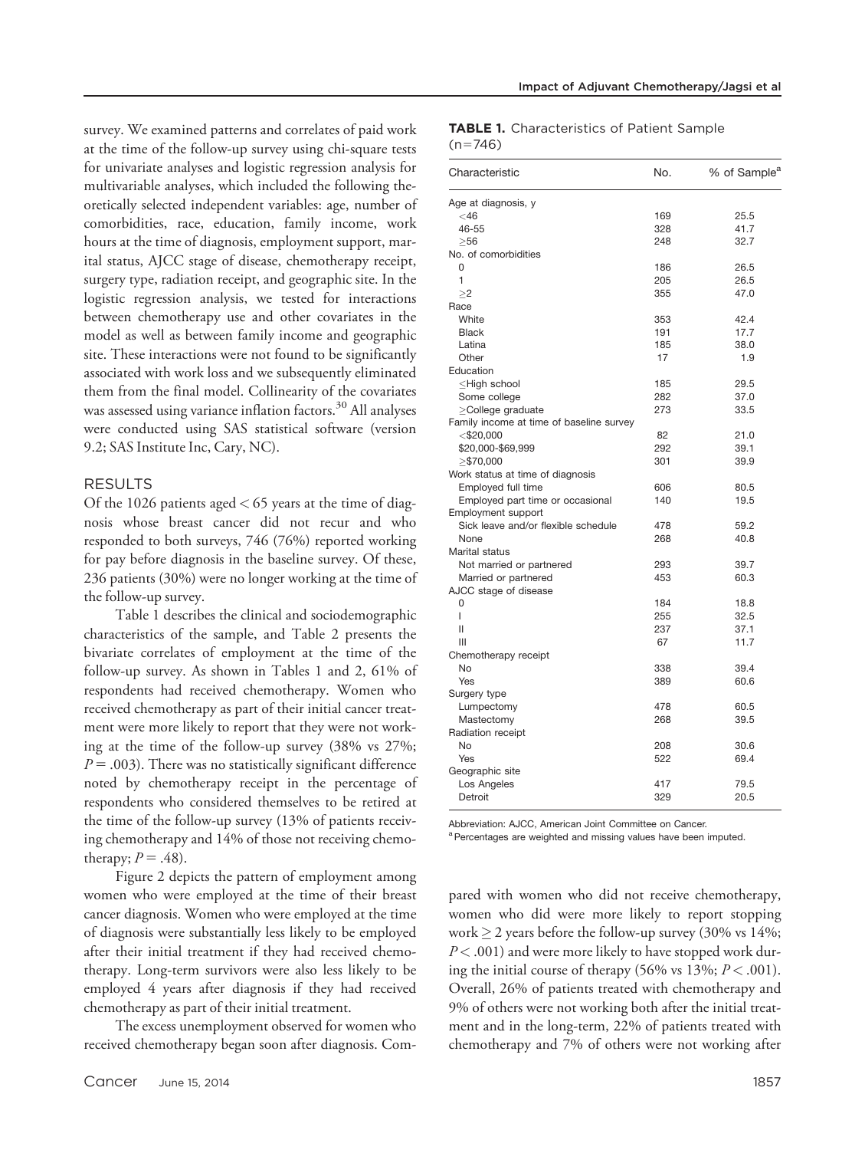survey. We examined patterns and correlates of paid work at the time of the follow-up survey using chi-square tests for univariate analyses and logistic regression analysis for multivariable analyses, which included the following theoretically selected independent variables: age, number of comorbidities, race, education, family income, work hours at the time of diagnosis, employment support, marital status, AJCC stage of disease, chemotherapy receipt, surgery type, radiation receipt, and geographic site. In the logistic regression analysis, we tested for interactions between chemotherapy use and other covariates in the model as well as between family income and geographic site. These interactions were not found to be significantly associated with work loss and we subsequently eliminated them from the final model. Collinearity of the covariates was assessed using variance inflation factors.<sup>30</sup> All analyses were conducted using SAS statistical software (version 9.2; SAS Institute Inc, Cary, NC).

## RESULTS

Of the 1026 patients aged  $< 65$  years at the time of diagnosis whose breast cancer did not recur and who responded to both surveys, 746 (76%) reported working for pay before diagnosis in the baseline survey. Of these, 236 patients (30%) were no longer working at the time of the follow-up survey.

Table 1 describes the clinical and sociodemographic characteristics of the sample, and Table 2 presents the bivariate correlates of employment at the time of the follow-up survey. As shown in Tables 1 and 2, 61% of respondents had received chemotherapy. Women who received chemotherapy as part of their initial cancer treatment were more likely to report that they were not working at the time of the follow-up survey (38% vs 27%;  $P = .003$ ). There was no statistically significant difference noted by chemotherapy receipt in the percentage of respondents who considered themselves to be retired at the time of the follow-up survey (13% of patients receiving chemotherapy and 14% of those not receiving chemotherapy;  $P = .48$ ).

Figure 2 depicts the pattern of employment among women who were employed at the time of their breast cancer diagnosis. Women who were employed at the time of diagnosis were substantially less likely to be employed after their initial treatment if they had received chemotherapy. Long-term survivors were also less likely to be employed 4 years after diagnosis if they had received chemotherapy as part of their initial treatment.

The excess unemployment observed for women who received chemotherapy began soon after diagnosis. Com-

|           | <b>TABLE 1.</b> Characteristics of Patient Sample |  |  |
|-----------|---------------------------------------------------|--|--|
| $(n=746)$ |                                                   |  |  |

| Characteristic                           | No. | % of Sample <sup>a</sup> |
|------------------------------------------|-----|--------------------------|
| Age at diagnosis, y                      |     |                          |
| $<$ 46                                   | 169 | 25.5                     |
| 46-55                                    | 328 | 41.7                     |
| > 56                                     | 248 | 32.7                     |
| No. of comorbidities                     |     |                          |
| <sup>0</sup>                             | 186 | 26.5                     |
| 1                                        | 205 | 26.5                     |
| ≥2                                       | 355 | 47.0                     |
| Race                                     |     |                          |
| White                                    | 353 | 42.4                     |
| <b>Black</b>                             | 191 | 17.7                     |
| Latina                                   | 185 | 38.0                     |
| Other                                    | 17  | 1.9                      |
| Education                                |     |                          |
| $\leq$ High school                       | 185 | 29.5                     |
| Some college                             | 282 | 37.0                     |
| $\geq$ College graduate                  | 273 | 33.5                     |
| Family income at time of baseline survey |     |                          |
| $<$ \$20,000                             | 82  | 21.0                     |
| \$20,000-\$69,999                        | 292 | 39.1                     |
| $\ge$ \$70,000                           | 301 | 39.9                     |
| Work status at time of diagnosis         |     |                          |
| Employed full time                       | 606 | 80.5                     |
| Employed part time or occasional         | 140 | 19.5                     |
| Employment support                       |     |                          |
| Sick leave and/or flexible schedule      | 478 | 59.2                     |
| None                                     | 268 | 40.8                     |
| Marital status                           |     |                          |
| Not married or partnered                 | 293 | 39.7                     |
| Married or partnered                     | 453 | 60.3                     |
| AJCC stage of disease                    |     |                          |
| 0                                        | 184 | 18.8                     |
| T                                        | 255 | 32.5                     |
| Ш                                        | 237 | 37.1                     |
| Ш                                        | 67  | 11.7                     |
| Chemotherapy receipt                     |     |                          |
| No                                       | 338 | 39.4                     |
| Yes                                      | 389 | 60.6                     |
| Surgery type                             |     |                          |
| Lumpectomy                               | 478 | 60.5                     |
| Mastectomy                               | 268 | 39.5                     |
| Radiation receipt                        |     |                          |
| No                                       | 208 | 30.6                     |
| Yes                                      | 522 | 69.4                     |
| Geographic site                          |     |                          |
| Los Angeles                              | 417 | 79.5                     |
| Detroit                                  | 329 | 20.5                     |

Abbreviation: AJCC, American Joint Committee on Cancer.

<sup>a</sup> Percentages are weighted and missing values have been imputed.

pared with women who did not receive chemotherapy, women who did were more likely to report stopping work  $\geq$  2 years before the follow-up survey (30% vs 14%;  $P < .001$ ) and were more likely to have stopped work during the initial course of therapy (56% vs  $13\%$ ;  $P < .001$ ). Overall, 26% of patients treated with chemotherapy and 9% of others were not working both after the initial treatment and in the long-term, 22% of patients treated with chemotherapy and 7% of others were not working after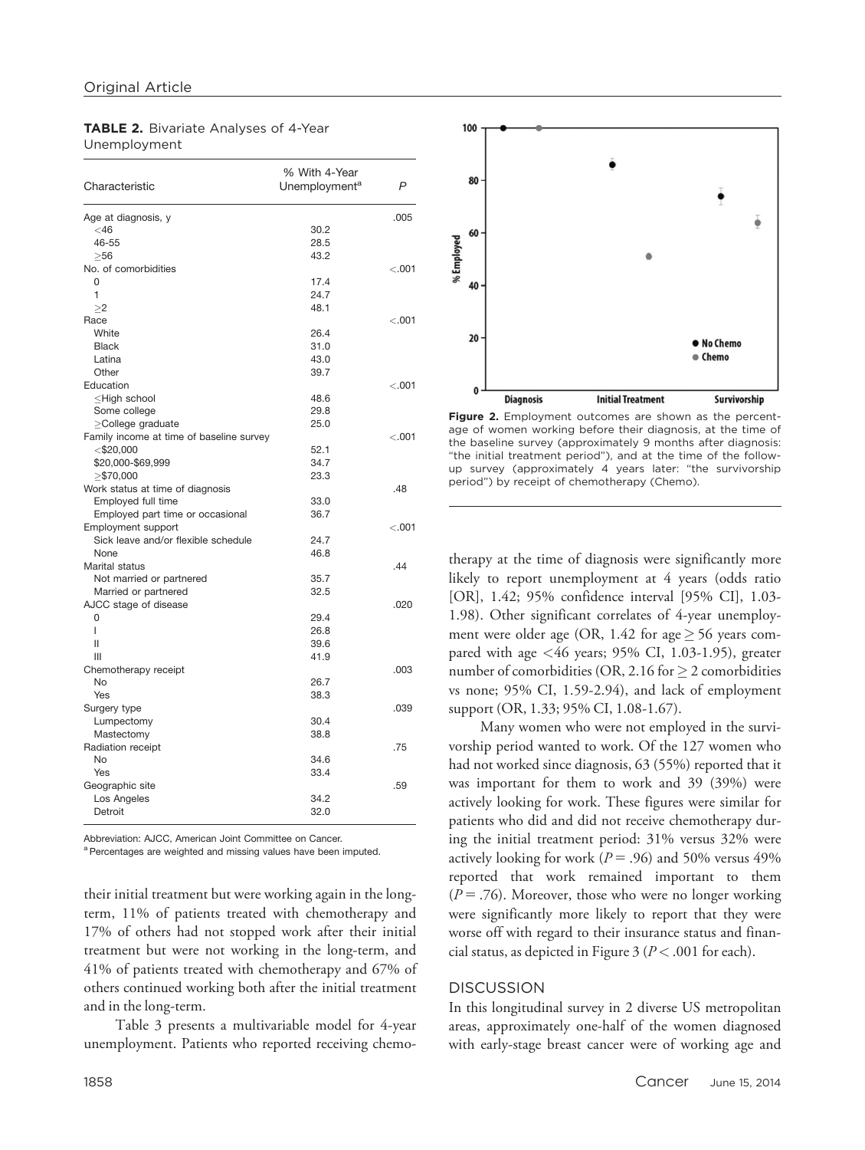| <b>TABLE 2.</b> Bivariate Analyses of 4-Year |  |  |
|----------------------------------------------|--|--|
| Unemployment                                 |  |  |

| Characteristic                           | % With 4-Year<br>Unemployment <sup>a</sup> | $\overline{P}$ |
|------------------------------------------|--------------------------------------------|----------------|
| Age at diagnosis, y                      |                                            | .005           |
| $<$ 46                                   | 30.2                                       |                |
| 46-55                                    | 28.5                                       |                |
| >56                                      | 43.2                                       |                |
| No. of comorbidities                     |                                            | < .001         |
| 0                                        | 17.4                                       |                |
| 1                                        | 24.7                                       |                |
| >2                                       | 48.1                                       |                |
| Race                                     |                                            | < .001         |
| White                                    | 26.4                                       |                |
| <b>Black</b>                             | 31.0                                       |                |
| Latina                                   | 43.0                                       |                |
| Other                                    | 39.7                                       |                |
| Education                                |                                            | < .001         |
| ≤High school                             | 48.6                                       |                |
| Some college                             | 29.8                                       |                |
| $\geq$ College graduate                  | 25.0                                       |                |
| Family income at time of baseline survey |                                            | < .001         |
| $<$ \$20,000                             | 52.1                                       |                |
| \$20,000-\$69,999                        | 34.7                                       |                |
| $>$ \$70,000                             | 23.3                                       |                |
| Work status at time of diagnosis         |                                            | .48            |
| Employed full time                       | 33.0                                       |                |
| Employed part time or occasional         | 36.7                                       |                |
| Employment support                       |                                            | < .001         |
| Sick leave and/or flexible schedule      | 24.7                                       |                |
| None                                     | 46.8                                       |                |
| Marital status                           |                                            | .44            |
| Not married or partnered                 | 35.7                                       |                |
| Married or partnered                     | 32.5                                       |                |
| AJCC stage of disease                    |                                            | .020           |
| 0                                        | 29.4                                       |                |
| I                                        | 26.8                                       |                |
| $\mathsf{II}$                            | 39.6                                       |                |
| Ш                                        | 41.9                                       |                |
| Chemotherapy receipt                     |                                            | .003           |
| No                                       | 26.7                                       |                |
| Yes                                      | 38.3                                       |                |
| Surgery type                             |                                            | .039           |
| Lumpectomy                               | 30.4                                       |                |
| Mastectomy                               | 38.8                                       |                |
| Radiation receipt                        |                                            | .75            |
| No                                       | 34.6                                       |                |
| Yes                                      | 33.4                                       |                |
| Geographic site                          |                                            | .59            |
| Los Angeles                              | 34.2                                       |                |
| Detroit                                  | 32.0                                       |                |
|                                          |                                            |                |

Abbreviation: AJCC, American Joint Committee on Cancer.

<sup>a</sup> Percentages are weighted and missing values have been imputed.

their initial treatment but were working again in the longterm, 11% of patients treated with chemotherapy and 17% of others had not stopped work after their initial treatment but were not working in the long-term, and 41% of patients treated with chemotherapy and 67% of others continued working both after the initial treatment and in the long-term.

Table 3 presents a multivariable model for 4-year unemployment. Patients who reported receiving chemo-



Figure 2. Employment outcomes are shown as the percentage of women working before their diagnosis, at the time of the baseline survey (approximately 9 months after diagnosis: "the initial treatment period"), and at the time of the followup survey (approximately 4 years later: "the survivorship period") by receipt of chemotherapy (Chemo).

therapy at the time of diagnosis were significantly more likely to report unemployment at 4 years (odds ratio [OR], 1.42; 95% confidence interval [95% CI], 1.03- 1.98). Other significant correlates of 4-year unemployment were older age (OR, 1.42 for age  $\geq$  56 years compared with age  $\langle 46 \rangle$  years; 95% CI, 1.03-1.95), greater number of comorbidities (OR, 2.16 for  $\geq$  2 comorbidities vs none; 95% CI, 1.59-2.94), and lack of employment support (OR, 1.33; 95% CI, 1.08-1.67).

Many women who were not employed in the survivorship period wanted to work. Of the 127 women who had not worked since diagnosis, 63 (55%) reported that it was important for them to work and 39 (39%) were actively looking for work. These figures were similar for patients who did and did not receive chemotherapy during the initial treatment period: 31% versus 32% were actively looking for work ( $P = .96$ ) and 50% versus 49% reported that work remained important to them  $(P = .76)$ . Moreover, those who were no longer working were significantly more likely to report that they were worse off with regard to their insurance status and financial status, as depicted in Figure 3 ( $P < .001$  for each).

#### **DISCUSSION**

In this longitudinal survey in 2 diverse US metropolitan areas, approximately one-half of the women diagnosed with early-stage breast cancer were of working age and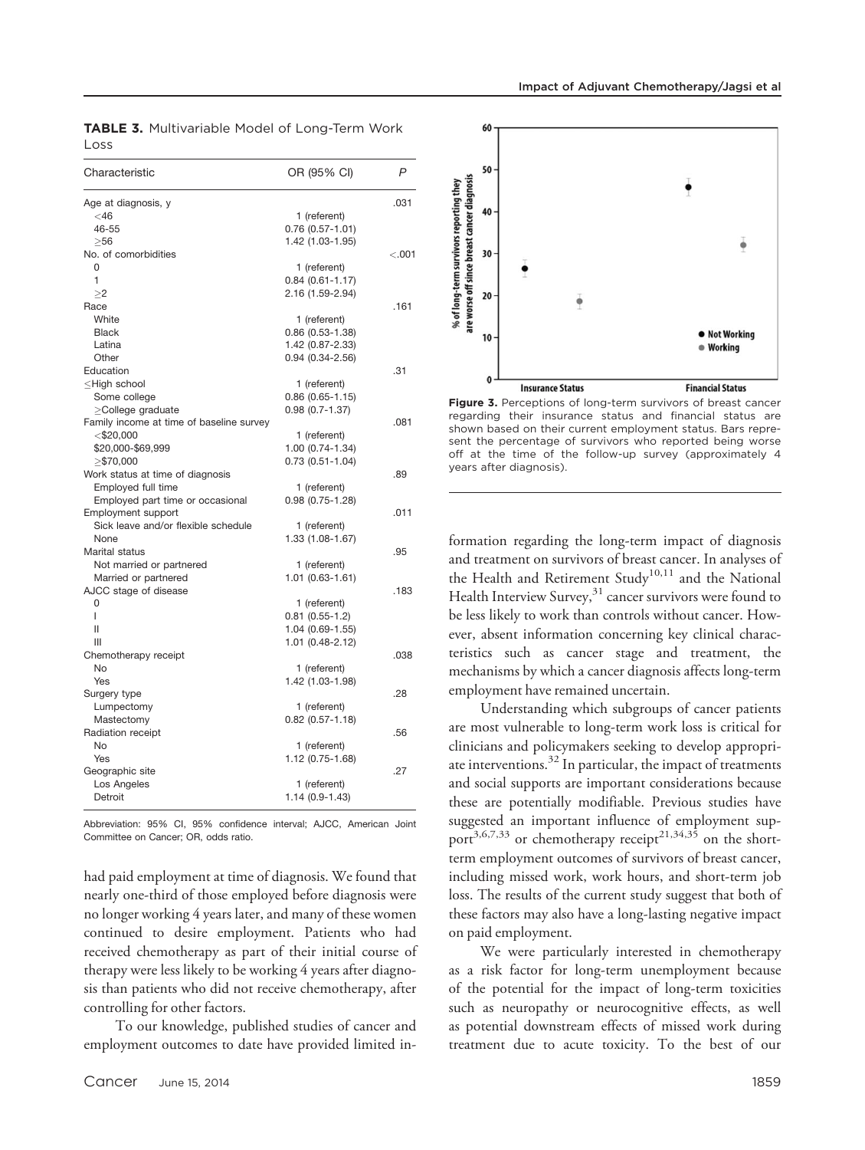|  |  | Impact of Adjuvant Chemotherapy/Jagsi et al |  |  |  |
|--|--|---------------------------------------------|--|--|--|
|--|--|---------------------------------------------|--|--|--|

| Characteristic                           | OR (95% CI)            | $\mathsf{P}$ |
|------------------------------------------|------------------------|--------------|
| Age at diagnosis, y                      |                        | .031         |
| <46                                      | 1 (referent)           |              |
| 46-55                                    | $0.76(0.57 - 1.01)$    |              |
| >56                                      | 1.42 (1.03-1.95)       |              |
| No. of comorbidities                     |                        | < .001       |
| 0                                        | 1 (referent)           |              |
| 1                                        | $0.84(0.61 - 1.17)$    |              |
| >2                                       | 2.16 (1.59-2.94)       |              |
| Race                                     |                        | .161         |
| White                                    | 1 (referent)           |              |
| <b>Black</b>                             | $0.86$ $(0.53 - 1.38)$ |              |
| Latina                                   | 1.42 (0.87-2.33)       |              |
| Other                                    | $0.94(0.34 - 2.56)$    |              |
| Education                                |                        | .31          |
| ≤High school                             | 1 (referent)           |              |
| Some college                             | $0.86$ $(0.65 - 1.15)$ |              |
| $\geq$ College graduate                  | $0.98(0.7-1.37)$       |              |
| Family income at time of baseline survey |                        | .081         |
| $<$ \$20,000                             | 1 (referent)           |              |
| \$20,000-\$69,999                        | 1.00 (0.74-1.34)       |              |
| $\geq$ \$70,000                          | $0.73(0.51 - 1.04)$    |              |
| Work status at time of diagnosis         |                        | .89          |
| Employed full time                       | 1 (referent)           |              |
| Employed part time or occasional         | $0.98(0.75-1.28)$      |              |
| Employment support                       |                        | .011         |
| Sick leave and/or flexible schedule      | 1 (referent)           |              |
| None                                     | 1.33 (1.08-1.67)       |              |
| Marital status                           |                        | .95          |
| Not married or partnered                 | 1 (referent)           |              |
| Married or partnered                     | $1.01(0.63 - 1.61)$    |              |
| AJCC stage of disease                    |                        | .183         |
| 0                                        | 1 (referent)           |              |
| T                                        | $0.81(0.55-1.2)$       |              |
| Ш                                        | 1.04 (0.69-1.55)       |              |
| Ш                                        | 1.01 (0.48-2.12)       |              |
| Chemotherapy receipt                     |                        | .038         |
| No                                       | 1 (referent)           |              |
| Yes                                      | 1.42 (1.03-1.98)       |              |
| Surgery type                             |                        | .28          |
| Lumpectomy                               | 1 (referent)           |              |
| Mastectomy                               | $0.82$ (0.57-1.18)     |              |
| Radiation receipt                        |                        | .56          |
| No                                       | 1 (referent)           |              |
| Yes                                      | 1.12 (0.75-1.68)       |              |
| Geographic site                          |                        | .27          |
| Los Angeles                              | 1 (referent)           |              |
| Detroit                                  | 1.14 (0.9-1.43)        |              |
|                                          |                        |              |

TABLE 3. Multivariable Model of Long-Term Work Loss

Abbreviation: 95% CI, 95% confidence interval; AJCC, American Joint Committee on Cancer; OR, odds ratio.

had paid employment at time of diagnosis. We found that nearly one-third of those employed before diagnosis were no longer working 4 years later, and many of these women continued to desire employment. Patients who had received chemotherapy as part of their initial course of therapy were less likely to be working 4 years after diagnosis than patients who did not receive chemotherapy, after controlling for other factors.

To our knowledge, published studies of cancer and employment outcomes to date have provided limited in-



Figure 3. Perceptions of long-term survivors of breast cancer regarding their insurance status and financial status are shown based on their current employment status. Bars represent the percentage of survivors who reported being worse off at the time of the follow-up survey (approximately 4 years after diagnosis).

formation regarding the long-term impact of diagnosis and treatment on survivors of breast cancer. In analyses of the Health and Retirement Study<sup>10,11</sup> and the National Health Interview Survey,<sup>31</sup> cancer survivors were found to be less likely to work than controls without cancer. However, absent information concerning key clinical characteristics such as cancer stage and treatment, the mechanisms by which a cancer diagnosis affects long-term employment have remained uncertain.

Understanding which subgroups of cancer patients are most vulnerable to long-term work loss is critical for clinicians and policymakers seeking to develop appropriate interventions. $32$  In particular, the impact of treatments and social supports are important considerations because these are potentially modifiable. Previous studies have suggested an important influence of employment support<sup>3,6,7,33</sup> or chemotherapy receipt<sup>21,34,35</sup> on the shortterm employment outcomes of survivors of breast cancer, including missed work, work hours, and short-term job loss. The results of the current study suggest that both of these factors may also have a long-lasting negative impact on paid employment.

We were particularly interested in chemotherapy as a risk factor for long-term unemployment because of the potential for the impact of long-term toxicities such as neuropathy or neurocognitive effects, as well as potential downstream effects of missed work during treatment due to acute toxicity. To the best of our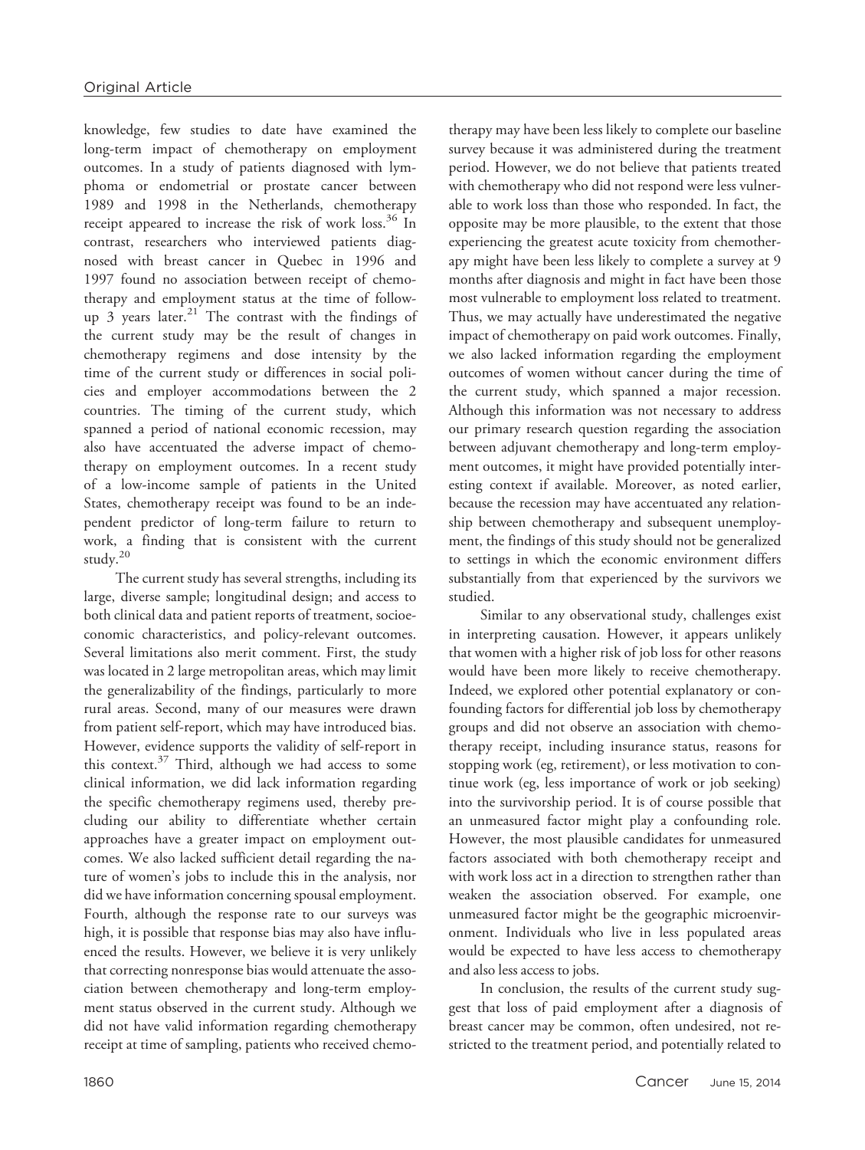knowledge, few studies to date have examined the long-term impact of chemotherapy on employment outcomes. In a study of patients diagnosed with lymphoma or endometrial or prostate cancer between 1989 and 1998 in the Netherlands, chemotherapy receipt appeared to increase the risk of work loss.<sup>36</sup> In contrast, researchers who interviewed patients diagnosed with breast cancer in Quebec in 1996 and 1997 found no association between receipt of chemotherapy and employment status at the time of followup  $3$  years later.<sup>21</sup> The contrast with the findings of the current study may be the result of changes in chemotherapy regimens and dose intensity by the time of the current study or differences in social policies and employer accommodations between the 2 countries. The timing of the current study, which spanned a period of national economic recession, may also have accentuated the adverse impact of chemotherapy on employment outcomes. In a recent study of a low-income sample of patients in the United States, chemotherapy receipt was found to be an independent predictor of long-term failure to return to work, a finding that is consistent with the current study.20

The current study has several strengths, including its large, diverse sample; longitudinal design; and access to both clinical data and patient reports of treatment, socioeconomic characteristics, and policy-relevant outcomes. Several limitations also merit comment. First, the study was located in 2 large metropolitan areas, which may limit the generalizability of the findings, particularly to more rural areas. Second, many of our measures were drawn from patient self-report, which may have introduced bias. However, evidence supports the validity of self-report in this context. $37$  Third, although we had access to some clinical information, we did lack information regarding the specific chemotherapy regimens used, thereby precluding our ability to differentiate whether certain approaches have a greater impact on employment outcomes. We also lacked sufficient detail regarding the nature of women's jobs to include this in the analysis, nor did we have information concerning spousal employment. Fourth, although the response rate to our surveys was high, it is possible that response bias may also have influenced the results. However, we believe it is very unlikely that correcting nonresponse bias would attenuate the association between chemotherapy and long-term employment status observed in the current study. Although we did not have valid information regarding chemotherapy receipt at time of sampling, patients who received chemotherapy may have been less likely to complete our baseline survey because it was administered during the treatment period. However, we do not believe that patients treated with chemotherapy who did not respond were less vulnerable to work loss than those who responded. In fact, the opposite may be more plausible, to the extent that those experiencing the greatest acute toxicity from chemotherapy might have been less likely to complete a survey at 9 months after diagnosis and might in fact have been those most vulnerable to employment loss related to treatment. Thus, we may actually have underestimated the negative impact of chemotherapy on paid work outcomes. Finally, we also lacked information regarding the employment outcomes of women without cancer during the time of the current study, which spanned a major recession. Although this information was not necessary to address our primary research question regarding the association between adjuvant chemotherapy and long-term employment outcomes, it might have provided potentially interesting context if available. Moreover, as noted earlier, because the recession may have accentuated any relationship between chemotherapy and subsequent unemployment, the findings of this study should not be generalized to settings in which the economic environment differs substantially from that experienced by the survivors we studied.

Similar to any observational study, challenges exist in interpreting causation. However, it appears unlikely that women with a higher risk of job loss for other reasons would have been more likely to receive chemotherapy. Indeed, we explored other potential explanatory or confounding factors for differential job loss by chemotherapy groups and did not observe an association with chemotherapy receipt, including insurance status, reasons for stopping work (eg, retirement), or less motivation to continue work (eg, less importance of work or job seeking) into the survivorship period. It is of course possible that an unmeasured factor might play a confounding role. However, the most plausible candidates for unmeasured factors associated with both chemotherapy receipt and with work loss act in a direction to strengthen rather than weaken the association observed. For example, one unmeasured factor might be the geographic microenvironment. Individuals who live in less populated areas would be expected to have less access to chemotherapy and also less access to jobs.

In conclusion, the results of the current study suggest that loss of paid employment after a diagnosis of breast cancer may be common, often undesired, not restricted to the treatment period, and potentially related to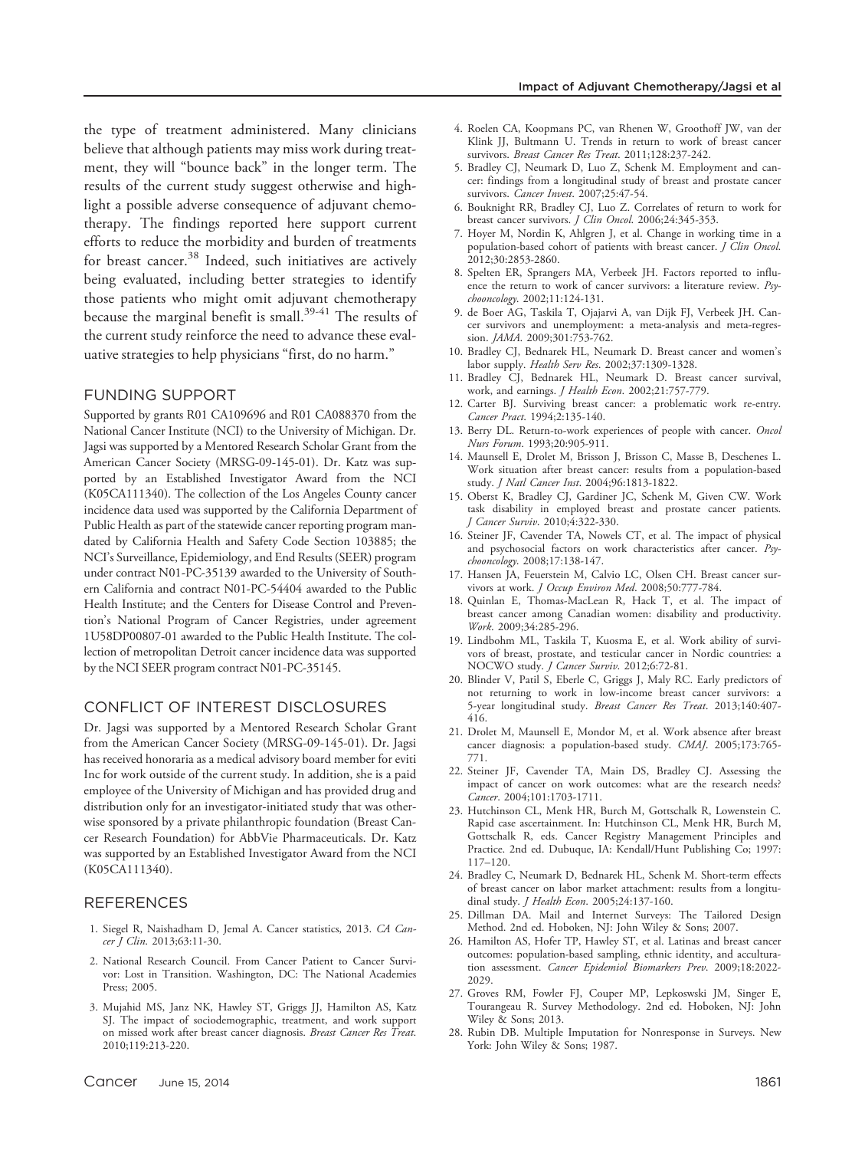the type of treatment administered. Many clinicians believe that although patients may miss work during treatment, they will "bounce back" in the longer term. The results of the current study suggest otherwise and highlight a possible adverse consequence of adjuvant chemotherapy. The findings reported here support current efforts to reduce the morbidity and burden of treatments for breast cancer.<sup>38</sup> Indeed, such initiatives are actively being evaluated, including better strategies to identify those patients who might omit adjuvant chemotherapy because the marginal benefit is small.<sup>39-41</sup> The results of

## FUNDING SUPPORT

Supported by grants R01 CA109696 and R01 CA088370 from the National Cancer Institute (NCI) to the University of Michigan. Dr. Jagsi was supported by a Mentored Research Scholar Grant from the American Cancer Society (MRSG-09-145-01). Dr. Katz was supported by an Established Investigator Award from the NCI (K05CA111340). The collection of the Los Angeles County cancer incidence data used was supported by the California Department of Public Health as part of the statewide cancer reporting program mandated by California Health and Safety Code Section 103885; the NCI's Surveillance, Epidemiology, and End Results (SEER) program under contract N01-PC-35139 awarded to the University of Southern California and contract N01-PC-54404 awarded to the Public Health Institute; and the Centers for Disease Control and Prevention's National Program of Cancer Registries, under agreement 1U58DP00807-01 awarded to the Public Health Institute. The collection of metropolitan Detroit cancer incidence data was supported by the NCI SEER program contract N01-PC-35145.

the current study reinforce the need to advance these evaluative strategies to help physicians "first, do no harm."

## CONFLICT OF INTEREST DISCLOSURES

Dr. Jagsi was supported by a Mentored Research Scholar Grant from the American Cancer Society (MRSG-09-145-01). Dr. Jagsi has received honoraria as a medical advisory board member for eviti Inc for work outside of the current study. In addition, she is a paid employee of the University of Michigan and has provided drug and distribution only for an investigator-initiated study that was otherwise sponsored by a private philanthropic foundation (Breast Cancer Research Foundation) for AbbVie Pharmaceuticals. Dr. Katz was supported by an Established Investigator Award from the NCI (K05CA111340).

## REFERENCES

- 1. Siegel R, Naishadham D, Jemal A. Cancer statistics, 2013. CA Cancer J Clin. 2013;63:11-30.
- 2. National Research Council. From Cancer Patient to Cancer Survivor: Lost in Transition. Washington, DC: The National Academies Press; 2005.
- 3. Mujahid MS, Janz NK, Hawley ST, Griggs JJ, Hamilton AS, Katz SJ. The impact of sociodemographic, treatment, and work support on missed work after breast cancer diagnosis. Breast Cancer Res Treat. 2010;119:213-220.
- 4. Roelen CA, Koopmans PC, van Rhenen W, Groothoff JW, van der Klink JJ, Bultmann U. Trends in return to work of breast cancer survivors. Breast Cancer Res Treat. 2011;128:237-242.
- 5. Bradley CJ, Neumark D, Luo Z, Schenk M. Employment and cancer: findings from a longitudinal study of breast and prostate cancer survivors. Cancer Invest. 2007;25:47-54.
- 6. Bouknight RR, Bradley CJ, Luo Z. Correlates of return to work for breast cancer survivors. J Clin Oncol. 2006;24:345-353.
- 7. Hoyer M, Nordin K, Ahlgren J, et al. Change in working time in a population-based cohort of patients with breast cancer. J Clin Oncol. 2012;30:2853-2860.
- 8. Spelten ER, Sprangers MA, Verbeek JH. Factors reported to influence the return to work of cancer survivors: a literature review. Psychooncology. 2002;11:124-131.
- 9. de Boer AG, Taskila T, Ojajarvi A, van Dijk FJ, Verbeek JH. Cancer survivors and unemployment: a meta-analysis and meta-regression. JAMA. 2009;301:753-762.
- 10. Bradley CJ, Bednarek HL, Neumark D. Breast cancer and women's labor supply. Health Serv Res. 2002;37:1309-1328.
- 11. Bradley CJ, Bednarek HL, Neumark D. Breast cancer survival, work, and earnings. J Health Econ. 2002;21:757-779.
- 12. Carter BJ. Surviving breast cancer: a problematic work re-entry. Cancer Pract. 1994;2:135-140.
- 13. Berry DL. Return-to-work experiences of people with cancer. Oncol Nurs Forum. 1993;20:905-911.
- 14. Maunsell E, Drolet M, Brisson J, Brisson C, Masse B, Deschenes L. Work situation after breast cancer: results from a population-based study. J Natl Cancer Inst. 2004;96:1813-1822.
- 15. Oberst K, Bradley CJ, Gardiner JC, Schenk M, Given CW. Work task disability in employed breast and prostate cancer patients. J Cancer Surviv. 2010;4:322-330.
- 16. Steiner JF, Cavender TA, Nowels CT, et al. The impact of physical and psychosocial factors on work characteristics after cancer. Psychooncology. 2008;17:138-147.
- 17. Hansen JA, Feuerstein M, Calvio LC, Olsen CH. Breast cancer survivors at work. J Occup Environ Med. 2008;50:777-784.
- 18. Quinlan E, Thomas-MacLean R, Hack T, et al. The impact of breast cancer among Canadian women: disability and productivity. Work. 2009;34:285-296.
- 19. Lindbohm ML, Taskila T, Kuosma E, et al. Work ability of survivors of breast, prostate, and testicular cancer in Nordic countries: a NOCWO study. J Cancer Surviv. 2012;6:72-81.
- 20. Blinder V, Patil S, Eberle C, Griggs J, Maly RC. Early predictors of not returning to work in low-income breast cancer survivors: a 5-year longitudinal study. Breast Cancer Res Treat. 2013;140:407- 416.
- 21. Drolet M, Maunsell E, Mondor M, et al. Work absence after breast cancer diagnosis: a population-based study. CMAJ. 2005;173:765- 771.
- 22. Steiner JF, Cavender TA, Main DS, Bradley CJ. Assessing the impact of cancer on work outcomes: what are the research needs? Cancer. 2004;101:1703-1711.
- 23. Hutchinson CL, Menk HR, Burch M, Gottschalk R, Lowenstein C. Rapid case ascertainment. In: Hutchinson CL, Menk HR, Burch M, Gottschalk R, eds. Cancer Registry Management Principles and Practice. 2nd ed. Dubuque, IA: Kendall/Hunt Publishing Co; 1997: 117–120.
- 24. Bradley C, Neumark D, Bednarek HL, Schenk M. Short-term effects of breast cancer on labor market attachment: results from a longitudinal study. J Health Econ. 2005;24:137-160.
- 25. Dillman DA. Mail and Internet Surveys: The Tailored Design Method. 2nd ed. Hoboken, NJ: John Wiley & Sons; 2007.
- 26. Hamilton AS, Hofer TP, Hawley ST, et al. Latinas and breast cancer outcomes: population-based sampling, ethnic identity, and acculturation assessment. Cancer Epidemiol Biomarkers Prev. 2009;18:2022- 2029.
- 27. Groves RM, Fowler FJ, Couper MP, Lepkoswski JM, Singer E, Tourangeau R. Survey Methodology. 2nd ed. Hoboken, NJ: John Wiley & Sons; 2013.
- 28. Rubin DB. Multiple Imputation for Nonresponse in Surveys. New York: John Wiley & Sons; 1987.